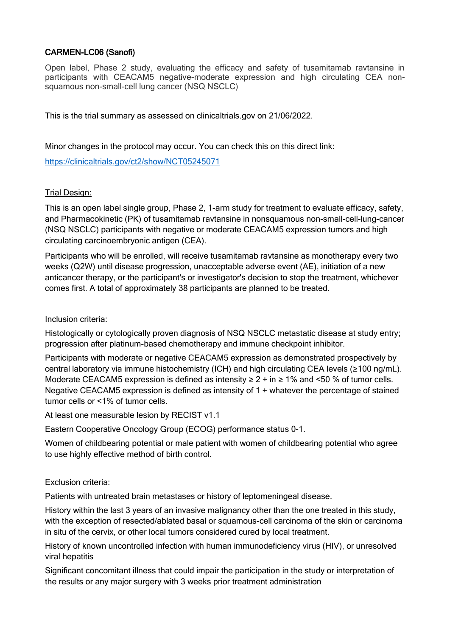## CARMEN-LC06 (Sanofi)

Open label, Phase 2 study, evaluating the efficacy and safety of tusamitamab ravtansine in participants with CEACAM5 negative-moderate expression and high circulating CEA nonsquamous non-small-cell lung cancer (NSQ NSCLC)

This is the trial summary as assessed on clinicaltrials.gov on 21/06/2022.

Minor changes in the protocol may occur. You can check this on this direct link:

<https://clinicaltrials.gov/ct2/show/NCT05245071>

## Trial Design:

This is an open label single group, Phase 2, 1-arm study for treatment to evaluate efficacy, safety, and Pharmacokinetic (PK) of tusamitamab ravtansine in nonsquamous non-small-cell-lung-cancer (NSQ NSCLC) participants with negative or moderate CEACAM5 expression tumors and high circulating carcinoembryonic antigen (CEA).

Participants who will be enrolled, will receive tusamitamab ravtansine as monotherapy every two weeks (Q2W) until disease progression, unacceptable adverse event (AE), initiation of a new anticancer therapy, or the participant's or investigator's decision to stop the treatment, whichever comes first. A total of approximately 38 participants are planned to be treated.

## Inclusion criteria:

Histologically or cytologically proven diagnosis of NSQ NSCLC metastatic disease at study entry; progression after platinum-based chemotherapy and immune checkpoint inhibitor.

Participants with moderate or negative CEACAM5 expression as demonstrated prospectively by central laboratory via immune histochemistry (ICH) and high circulating CEA levels (≥100 ng/mL). Moderate CEACAM5 expression is defined as intensity  $\geq 2 +$  in  $\geq 1\%$  and <50 % of tumor cells. Negative CEACAM5 expression is defined as intensity of 1 + whatever the percentage of stained tumor cells or <1% of tumor cells.

At least one measurable lesion by RECIST v1.1

Eastern Cooperative Oncology Group (ECOG) performance status 0-1.

Women of childbearing potential or male patient with women of childbearing potential who agree to use highly effective method of birth control.

## Exclusion criteria:

Patients with untreated brain metastases or history of leptomeningeal disease.

History within the last 3 years of an invasive malignancy other than the one treated in this study, with the exception of resected/ablated basal or squamous-cell carcinoma of the skin or carcinoma in situ of the cervix, or other local tumors considered cured by local treatment.

History of known uncontrolled infection with human immunodeficiency virus (HIV), or unresolved viral hepatitis

Significant concomitant illness that could impair the participation in the study or interpretation of the results or any major surgery with 3 weeks prior treatment administration